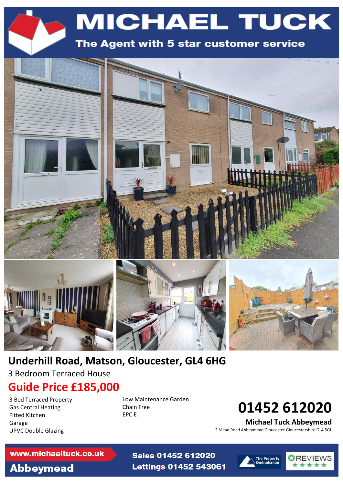



## **Underhill Road, Matson, Gloucester, GL4 6HG**

3 Bedroom Terraced House

## **Guide Price £185,000**

3 Bed Terraced Property Gas Central Heating Fitted Kitchen Garage UPVC Double Glazing

Low Maintenance Garden Chain Free EPC E

Sales 01452 612020

**Lettings 01452 543061** 

# **01452 612020**

**Michael Tuck Abbeymead**

2 Mead Road Abbeymead Gloucester Gloucestershire GL4 5GL

### www.michaeltuck.co.uk

# **Abbeymead**



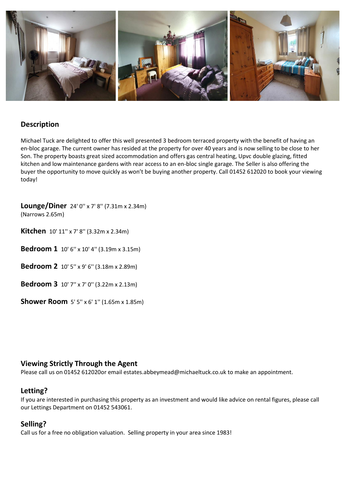

## **Description**

Michael Tuck are delighted to offer this well presented 3 bedroom terraced property with the benefit of having an en-bloc garage. The current owner has resided at the property for over 40 years and is now selling to be close to her Son. The property boasts great sized accommodation and offers gas central heating, Upvc double glazing, fitted kitchen and low maintenance gardens with rear access to an en-bloc single garage. The Seller is also offering the buyer the opportunity to move quickly as won't be buying another property. Call 01452 612020 to book your viewing today!

**Lounge/Diner** 24' 0'' x 7' 8'' (7.31m x 2.34m) (Narrows 2.65m)

**Kitchen** 10' 11" x 7' 8" (3.32m x 2.34m)

**Bedroom 1** 10' 6'' x 10' 4'' (3.19m x 3.15m)

**Bedroom 2** 10' 5'' x 9' 6'' (3.18m x 2.89m)

**Bedroom 3** 10' 7'' x 7' 0'' (3.22m x 2.13m)

**Shower Room** 5' 5'' x 6' 1'' (1.65m x 1.85m)

### **Viewing Strictly Through the Agent**

Please call us on 01452 612020or email estates.abbeymead@michaeltuck.co.uk to make an appointment.

### **Letting?**

If you are interested in purchasing this property as an investment and would like advice on rental figures, please call our Lettings Department on 01452 543061.

### **Selling?**

Call us for a free no obligation valuation. Selling property in your area since 1983!